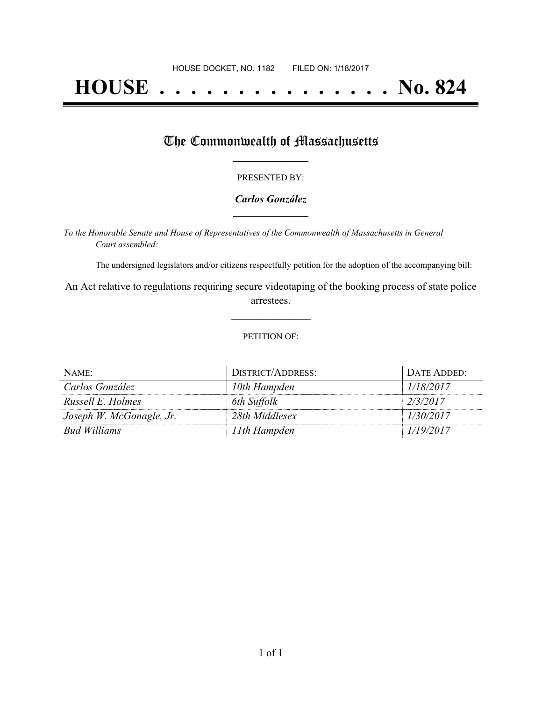# **HOUSE . . . . . . . . . . . . . . . No. 824**

## The Commonwealth of Massachusetts

#### PRESENTED BY:

#### *Carlos González* **\_\_\_\_\_\_\_\_\_\_\_\_\_\_\_\_\_**

*To the Honorable Senate and House of Representatives of the Commonwealth of Massachusetts in General Court assembled:*

The undersigned legislators and/or citizens respectfully petition for the adoption of the accompanying bill:

An Act relative to regulations requiring secure videotaping of the booking process of state police arrestees.

**\_\_\_\_\_\_\_\_\_\_\_\_\_\_\_**

#### PETITION OF:

| NAME:                    | DISTRICT/ADDRESS: | DATE ADDED: |
|--------------------------|-------------------|-------------|
| Carlos González          | 10th Hampden      | 1/18/2017   |
| Russell E. Holmes        | 6th Suffolk       | 2/3/2017    |
| Joseph W. McGonagle, Jr. | 28th Middlesex    | 1/30/2017   |
| <b>Bud Williams</b>      | 11th Hampden      | 1/19/2017   |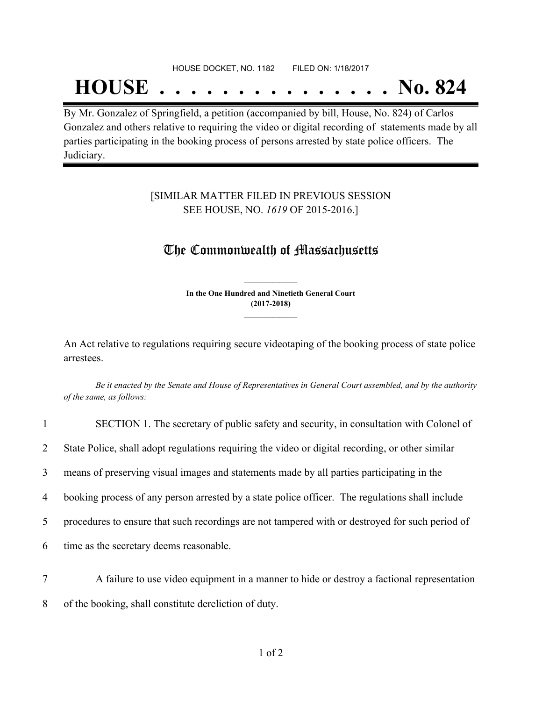### HOUSE DOCKET, NO. 1182 FILED ON: 1/18/2017

# **HOUSE . . . . . . . . . . . . . . . No. 824**

By Mr. Gonzalez of Springfield, a petition (accompanied by bill, House, No. 824) of Carlos Gonzalez and others relative to requiring the video or digital recording of statements made by all parties participating in the booking process of persons arrested by state police officers. The Judiciary.

### [SIMILAR MATTER FILED IN PREVIOUS SESSION SEE HOUSE, NO. *1619* OF 2015-2016.]

## The Commonwealth of Massachusetts

**In the One Hundred and Ninetieth General Court (2017-2018) \_\_\_\_\_\_\_\_\_\_\_\_\_\_\_**

**\_\_\_\_\_\_\_\_\_\_\_\_\_\_\_**

An Act relative to regulations requiring secure videotaping of the booking process of state police arrestees.

Be it enacted by the Senate and House of Representatives in General Court assembled, and by the authority *of the same, as follows:*

| $\mathbf{1}$   | SECTION 1. The secretary of public safety and security, in consultation with Colonel of          |  |
|----------------|--------------------------------------------------------------------------------------------------|--|
| $\overline{2}$ | State Police, shall adopt regulations requiring the video or digital recording, or other similar |  |
| 3              | means of preserving visual images and statements made by all parties participating in the        |  |
| 4              | booking process of any person arrested by a state police officer. The regulations shall include  |  |
| $5^{\circ}$    | procedures to ensure that such recordings are not tampered with or destroyed for such period of  |  |
| 6              | time as the secretary deems reasonable.                                                          |  |
|                |                                                                                                  |  |

7 A failure to use video equipment in a manner to hide or destroy a factional representation 8 of the booking, shall constitute dereliction of duty.